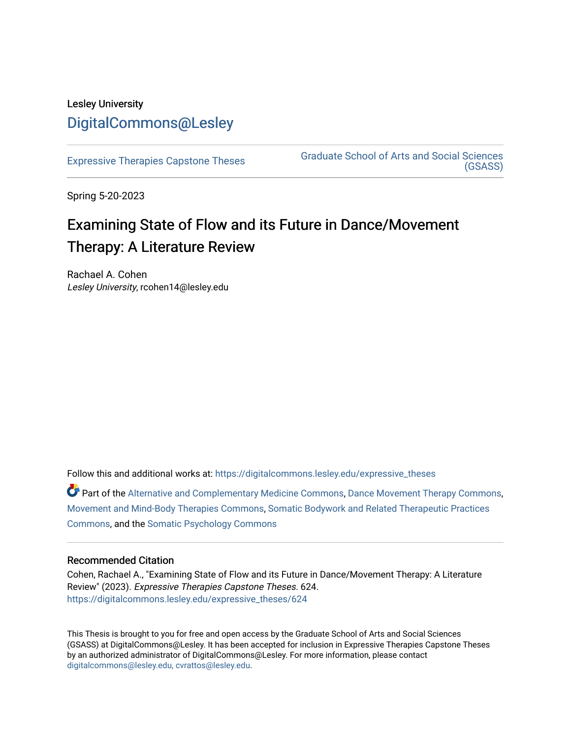# Lesley University [DigitalCommons@Lesley](https://digitalcommons.lesley.edu/)

[Expressive Therapies Capstone Theses](https://digitalcommons.lesley.edu/expressive_theses) Graduate School of Arts and Social Sciences [\(GSASS\)](https://digitalcommons.lesley.edu/gsass) 

Spring 5-20-2023

# Examining State of Flow and its Future in Dance/Movement Therapy: A Literature Review

Rachael A. Cohen Lesley University, rcohen14@lesley.edu

Follow this and additional works at: [https://digitalcommons.lesley.edu/expressive\\_theses](https://digitalcommons.lesley.edu/expressive_theses?utm_source=digitalcommons.lesley.edu%2Fexpressive_theses%2F624&utm_medium=PDF&utm_campaign=PDFCoverPages)

Part of the [Alternative and Complementary Medicine Commons,](http://network.bepress.com/hgg/discipline/649?utm_source=digitalcommons.lesley.edu%2Fexpressive_theses%2F624&utm_medium=PDF&utm_campaign=PDFCoverPages) [Dance Movement Therapy Commons,](http://network.bepress.com/hgg/discipline/1150?utm_source=digitalcommons.lesley.edu%2Fexpressive_theses%2F624&utm_medium=PDF&utm_campaign=PDFCoverPages) [Movement and Mind-Body Therapies Commons](http://network.bepress.com/hgg/discipline/751?utm_source=digitalcommons.lesley.edu%2Fexpressive_theses%2F624&utm_medium=PDF&utm_campaign=PDFCoverPages), [Somatic Bodywork and Related Therapeutic Practices](http://network.bepress.com/hgg/discipline/750?utm_source=digitalcommons.lesley.edu%2Fexpressive_theses%2F624&utm_medium=PDF&utm_campaign=PDFCoverPages) [Commons](http://network.bepress.com/hgg/discipline/750?utm_source=digitalcommons.lesley.edu%2Fexpressive_theses%2F624&utm_medium=PDF&utm_campaign=PDFCoverPages), and the [Somatic Psychology Commons](http://network.bepress.com/hgg/discipline/1431?utm_source=digitalcommons.lesley.edu%2Fexpressive_theses%2F624&utm_medium=PDF&utm_campaign=PDFCoverPages) 

#### Recommended Citation

Cohen, Rachael A., "Examining State of Flow and its Future in Dance/Movement Therapy: A Literature Review" (2023). Expressive Therapies Capstone Theses. 624. [https://digitalcommons.lesley.edu/expressive\\_theses/624](https://digitalcommons.lesley.edu/expressive_theses/624?utm_source=digitalcommons.lesley.edu%2Fexpressive_theses%2F624&utm_medium=PDF&utm_campaign=PDFCoverPages)

This Thesis is brought to you for free and open access by the Graduate School of Arts and Social Sciences (GSASS) at DigitalCommons@Lesley. It has been accepted for inclusion in Expressive Therapies Capstone Theses by an authorized administrator of DigitalCommons@Lesley. For more information, please contact [digitalcommons@lesley.edu, cvrattos@lesley.edu](mailto:digitalcommons@lesley.edu,%20cvrattos@lesley.edu).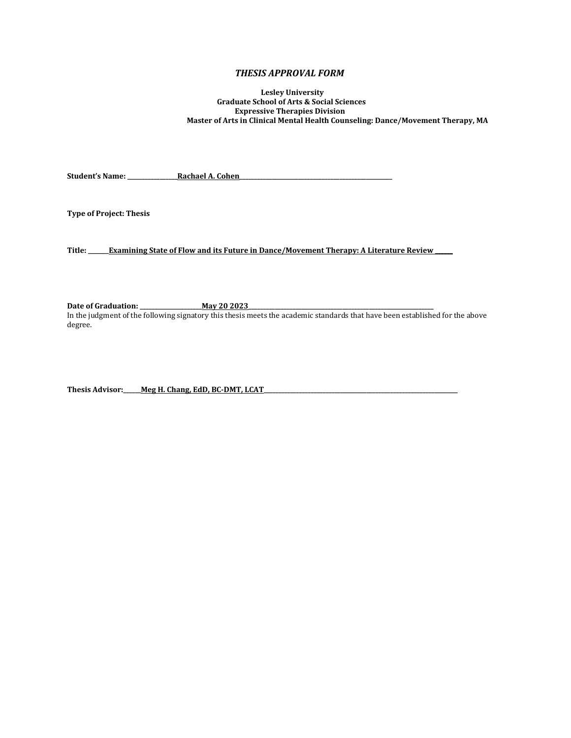#### *THESIS APPROVAL FORM*

 **Lesley University Graduate School of Arts & Social Sciences Expressive Therapies Division Master of Arts in Clinical Mental Health Counseling: Dance/Movement Therapy, MA**

**Student's Name: \_\_\_\_\_\_\_\_\_\_\_\_\_\_\_\_\_Rachael A. Cohen\_\_\_\_\_\_\_\_\_\_\_\_\_\_\_\_\_\_\_\_\_\_\_\_\_\_\_\_\_\_\_\_\_\_\_\_\_\_\_\_\_\_\_\_\_\_\_\_\_\_\_\_**

**Type of Project: Thesis**

**Title: \_\_\_\_\_\_\_Examining State of Flow and its Future in Dance/Movement Therapy: A Literature Review \_\_\_\_\_\_**

Date of Graduation: \_\_\_\_\_\_\_\_\_\_\_\_\_\_\_\_\_\_\_\_\_\_\_\_ May 20 2023

In the judgment of the following signatory this thesis meets the academic standards that have been established for the above degree.

Thesis Advisor: \_\_\_\_\_ Meg H. Chang, EdD, BC-DMT, LCAT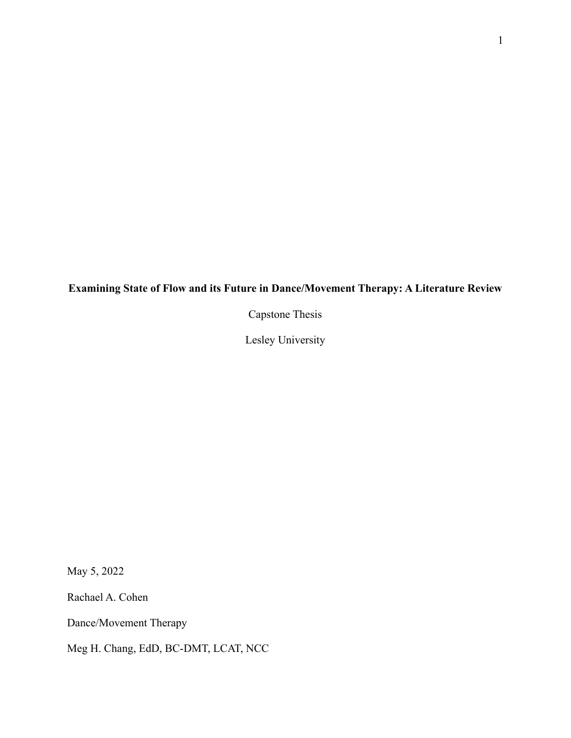## **Examining State of Flow and its Future in Dance/Movement Therapy: A Literature Review**

Capstone Thesis

Lesley University

May 5, 2022

Rachael A. Cohen

Dance/Movement Therapy

Meg H. Chang, EdD, BC-DMT, LCAT, NCC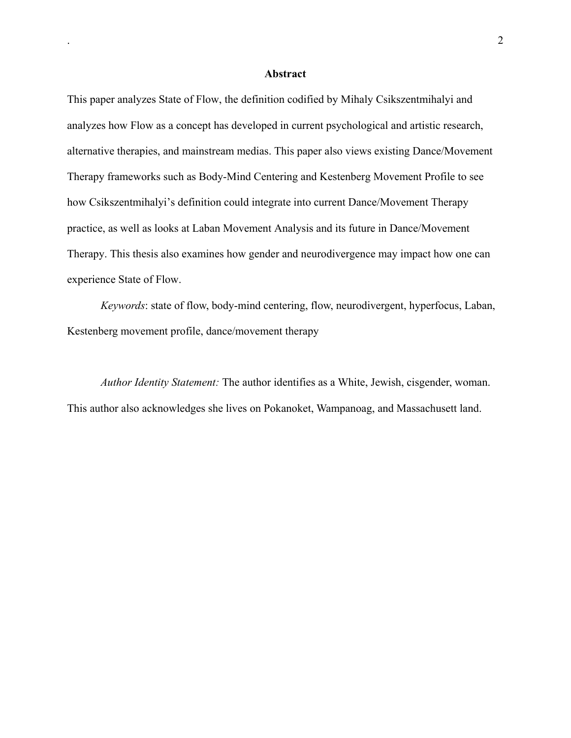#### **Abstract**

This paper analyzes State of Flow, the definition codified by Mihaly Csikszentmihalyi and analyzes how Flow as a concept has developed in current psychological and artistic research, alternative therapies, and mainstream medias. This paper also views existing Dance/Movement Therapy frameworks such as Body-Mind Centering and Kestenberg Movement Profile to see how Csikszentmihalyi's definition could integrate into current Dance/Movement Therapy practice, as well as looks at Laban Movement Analysis and its future in Dance/Movement Therapy. This thesis also examines how gender and neurodivergence may impact how one can experience State of Flow.

*Keywords*: state of flow, body-mind centering, flow, neurodivergent, hyperfocus, Laban, Kestenberg movement profile, dance/movement therapy

*Author Identity Statement:* The author identifies as a White, Jewish, cisgender, woman. This author also acknowledges she lives on Pokanoket, Wampanoag, and Massachusett land.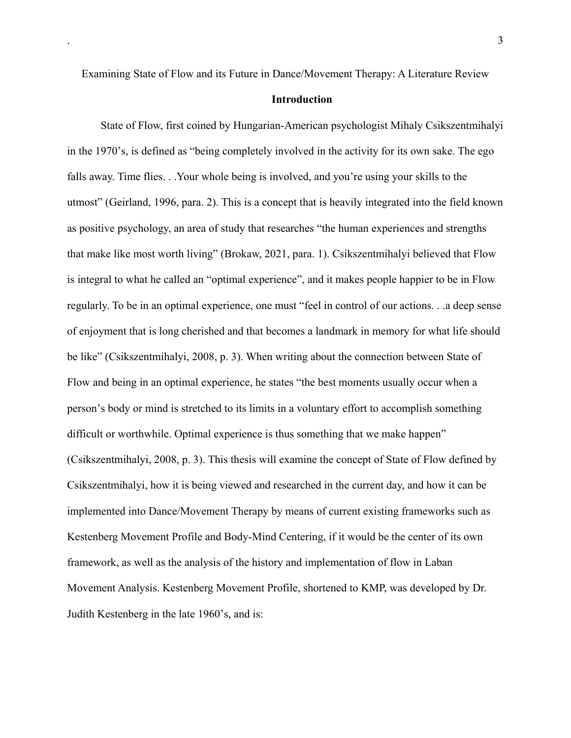### **Introduction**

State of Flow, first coined by Hungarian-American psychologist Mihaly Csikszentmihalyi in the 1970's, is defined as "being completely involved in the activity for its own sake. The ego falls away. Time flies. . .Your whole being is involved, and you're using your skills to the utmost" (Geirland, 1996, para. 2). This is a concept that is heavily integrated into the field known as positive psychology, an area of study that researches "the human experiences and strengths that make like most worth living" (Brokaw, 2021, para. 1). Csikszentmihalyi believed that Flow is integral to what he called an "optimal experience", and it makes people happier to be in Flow regularly. To be in an optimal experience, one must "feel in control of our actions. . .a deep sense of enjoyment that is long cherished and that becomes a landmark in memory for what life should be like" (Csikszentmihalyi, 2008, p. 3). When writing about the connection between State of Flow and being in an optimal experience, he states "the best moments usually occur when a person's body or mind is stretched to its limits in a voluntary effort to accomplish something difficult or worthwhile. Optimal experience is thus something that we make happen" (Csikszentmihalyi, 2008, p. 3). This thesis will examine the concept of State of Flow defined by Csikszentmihalyi, how it is being viewed and researched in the current day, and how it can be implemented into Dance/Movement Therapy by means of current existing frameworks such as Kestenberg Movement Profile and Body-Mind Centering, if it would be the center of its own framework, as well as the analysis of the history and implementation of flow in Laban Movement Analysis. Kestenberg Movement Profile, shortened to KMP, was developed by Dr. Judith Kestenberg in the late 1960's, and is: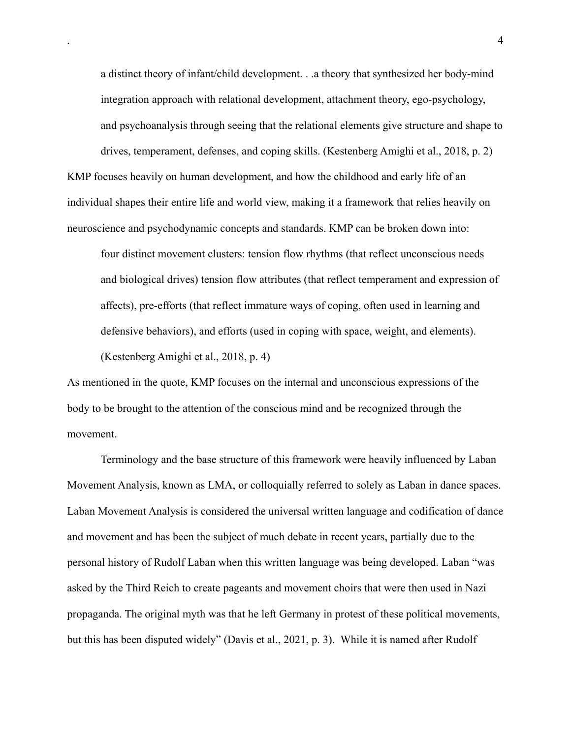a distinct theory of infant/child development. . .a theory that synthesized her body-mind integration approach with relational development, attachment theory, ego-psychology, and psychoanalysis through seeing that the relational elements give structure and shape to drives, temperament, defenses, and coping skills. (Kestenberg Amighi et al., 2018, p. 2)

KMP focuses heavily on human development, and how the childhood and early life of an individual shapes their entire life and world view, making it a framework that relies heavily on neuroscience and psychodynamic concepts and standards. KMP can be broken down into:

four distinct movement clusters: tension flow rhythms (that reflect unconscious needs and biological drives) tension flow attributes (that reflect temperament and expression of affects), pre-efforts (that reflect immature ways of coping, often used in learning and defensive behaviors), and efforts (used in coping with space, weight, and elements). (Kestenberg Amighi et al., 2018, p. 4)

As mentioned in the quote, KMP focuses on the internal and unconscious expressions of the body to be brought to the attention of the conscious mind and be recognized through the movement.

Terminology and the base structure of this framework were heavily influenced by Laban Movement Analysis, known as LMA, or colloquially referred to solely as Laban in dance spaces. Laban Movement Analysis is considered the universal written language and codification of dance and movement and has been the subject of much debate in recent years, partially due to the personal history of Rudolf Laban when this written language was being developed. Laban "was asked by the Third Reich to create pageants and movement choirs that were then used in Nazi propaganda. The original myth was that he left Germany in protest of these political movements, but this has been disputed widely" (Davis et al., 2021, p. 3). While it is named after Rudolf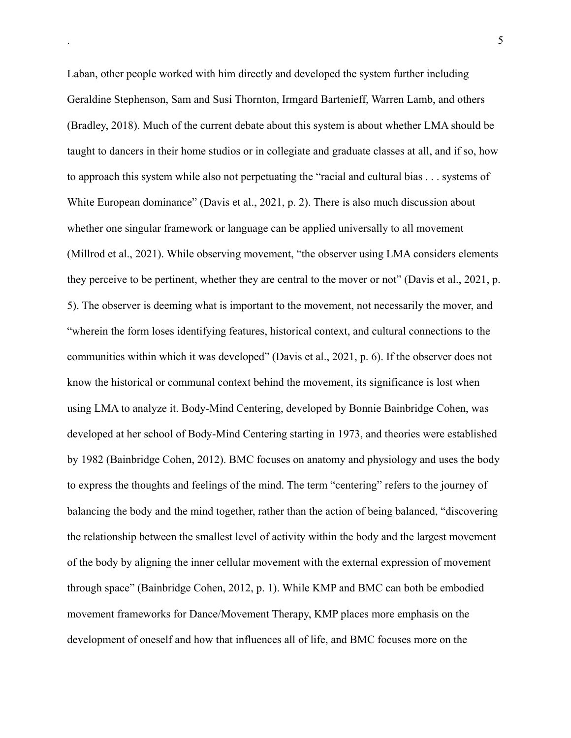Laban, other people worked with him directly and developed the system further including Geraldine Stephenson, Sam and Susi Thornton, Irmgard Bartenieff, Warren Lamb, and others (Bradley, 2018). Much of the current debate about this system is about whether LMA should be taught to dancers in their home studios or in collegiate and graduate classes at all, and if so, how to approach this system while also not perpetuating the "racial and cultural bias . . . systems of White European dominance" (Davis et al., 2021, p. 2). There is also much discussion about whether one singular framework or language can be applied universally to all movement (Millrod et al., 2021). While observing movement, "the observer using LMA considers elements they perceive to be pertinent, whether they are central to the mover or not" (Davis et al., 2021, p. 5). The observer is deeming what is important to the movement, not necessarily the mover, and "wherein the form loses identifying features, historical context, and cultural connections to the communities within which it was developed" (Davis et al., 2021, p. 6). If the observer does not know the historical or communal context behind the movement, its significance is lost when using LMA to analyze it. Body-Mind Centering, developed by Bonnie Bainbridge Cohen, was developed at her school of Body-Mind Centering starting in 1973, and theories were established by 1982 (Bainbridge Cohen, 2012). BMC focuses on anatomy and physiology and uses the body to express the thoughts and feelings of the mind. The term "centering" refers to the journey of balancing the body and the mind together, rather than the action of being balanced, "discovering the relationship between the smallest level of activity within the body and the largest movement of the body by aligning the inner cellular movement with the external expression of movement through space" (Bainbridge Cohen, 2012, p. 1). While KMP and BMC can both be embodied movement frameworks for Dance/Movement Therapy, KMP places more emphasis on the development of oneself and how that influences all of life, and BMC focuses more on the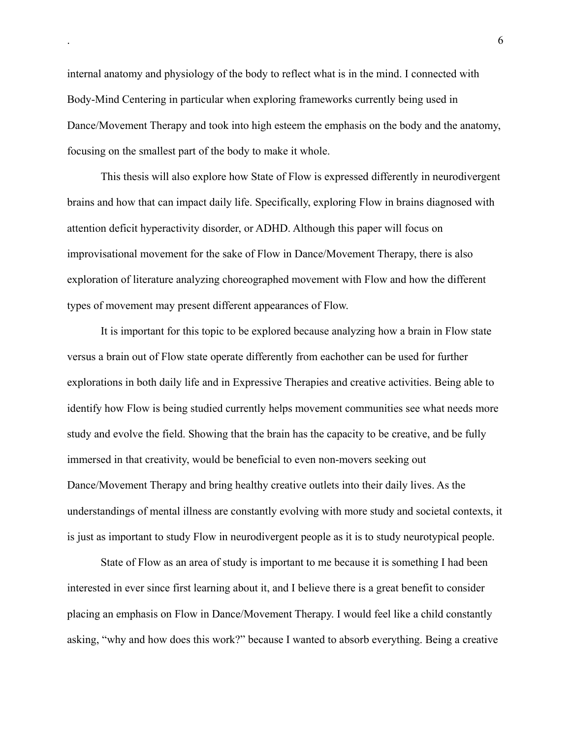internal anatomy and physiology of the body to reflect what is in the mind. I connected with Body-Mind Centering in particular when exploring frameworks currently being used in Dance/Movement Therapy and took into high esteem the emphasis on the body and the anatomy, focusing on the smallest part of the body to make it whole.

This thesis will also explore how State of Flow is expressed differently in neurodivergent brains and how that can impact daily life. Specifically, exploring Flow in brains diagnosed with attention deficit hyperactivity disorder, or ADHD. Although this paper will focus on improvisational movement for the sake of Flow in Dance/Movement Therapy, there is also exploration of literature analyzing choreographed movement with Flow and how the different types of movement may present different appearances of Flow.

It is important for this topic to be explored because analyzing how a brain in Flow state versus a brain out of Flow state operate differently from eachother can be used for further explorations in both daily life and in Expressive Therapies and creative activities. Being able to identify how Flow is being studied currently helps movement communities see what needs more study and evolve the field. Showing that the brain has the capacity to be creative, and be fully immersed in that creativity, would be beneficial to even non-movers seeking out Dance/Movement Therapy and bring healthy creative outlets into their daily lives. As the understandings of mental illness are constantly evolving with more study and societal contexts, it is just as important to study Flow in neurodivergent people as it is to study neurotypical people.

State of Flow as an area of study is important to me because it is something I had been interested in ever since first learning about it, and I believe there is a great benefit to consider placing an emphasis on Flow in Dance/Movement Therapy. I would feel like a child constantly asking, "why and how does this work?" because I wanted to absorb everything. Being a creative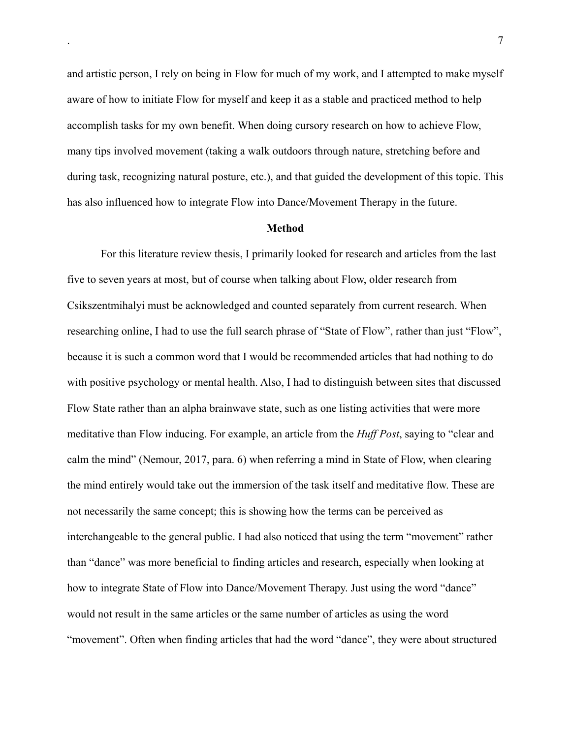and artistic person, I rely on being in Flow for much of my work, and I attempted to make myself aware of how to initiate Flow for myself and keep it as a stable and practiced method to help accomplish tasks for my own benefit. When doing cursory research on how to achieve Flow, many tips involved movement (taking a walk outdoors through nature, stretching before and during task, recognizing natural posture, etc.), and that guided the development of this topic. This has also influenced how to integrate Flow into Dance/Movement Therapy in the future.

#### **Method**

For this literature review thesis, I primarily looked for research and articles from the last five to seven years at most, but of course when talking about Flow, older research from Csikszentmihalyi must be acknowledged and counted separately from current research. When researching online, I had to use the full search phrase of "State of Flow", rather than just "Flow", because it is such a common word that I would be recommended articles that had nothing to do with positive psychology or mental health. Also, I had to distinguish between sites that discussed Flow State rather than an alpha brainwave state, such as one listing activities that were more meditative than Flow inducing. For example, an article from the *Huff Post*, saying to "clear and calm the mind" (Nemour, 2017, para. 6) when referring a mind in State of Flow, when clearing the mind entirely would take out the immersion of the task itself and meditative flow. These are not necessarily the same concept; this is showing how the terms can be perceived as interchangeable to the general public. I had also noticed that using the term "movement" rather than "dance" was more beneficial to finding articles and research, especially when looking at how to integrate State of Flow into Dance/Movement Therapy. Just using the word "dance" would not result in the same articles or the same number of articles as using the word "movement". Often when finding articles that had the word "dance", they were about structured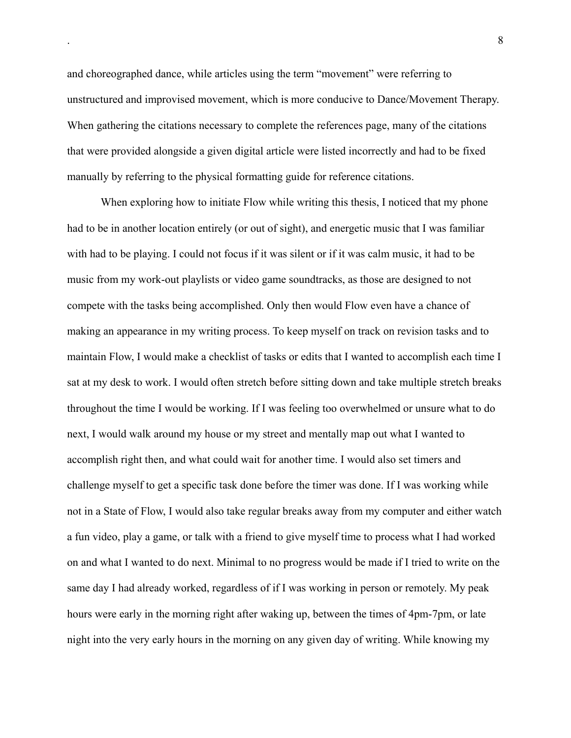and choreographed dance, while articles using the term "movement" were referring to unstructured and improvised movement, which is more conducive to Dance/Movement Therapy. When gathering the citations necessary to complete the references page, many of the citations that were provided alongside a given digital article were listed incorrectly and had to be fixed manually by referring to the physical formatting guide for reference citations.

When exploring how to initiate Flow while writing this thesis, I noticed that my phone had to be in another location entirely (or out of sight), and energetic music that I was familiar with had to be playing. I could not focus if it was silent or if it was calm music, it had to be music from my work-out playlists or video game soundtracks, as those are designed to not compete with the tasks being accomplished. Only then would Flow even have a chance of making an appearance in my writing process. To keep myself on track on revision tasks and to maintain Flow, I would make a checklist of tasks or edits that I wanted to accomplish each time I sat at my desk to work. I would often stretch before sitting down and take multiple stretch breaks throughout the time I would be working. If I was feeling too overwhelmed or unsure what to do next, I would walk around my house or my street and mentally map out what I wanted to accomplish right then, and what could wait for another time. I would also set timers and challenge myself to get a specific task done before the timer was done. If I was working while not in a State of Flow, I would also take regular breaks away from my computer and either watch a fun video, play a game, or talk with a friend to give myself time to process what I had worked on and what I wanted to do next. Minimal to no progress would be made if I tried to write on the same day I had already worked, regardless of if I was working in person or remotely. My peak hours were early in the morning right after waking up, between the times of 4pm-7pm, or late night into the very early hours in the morning on any given day of writing. While knowing my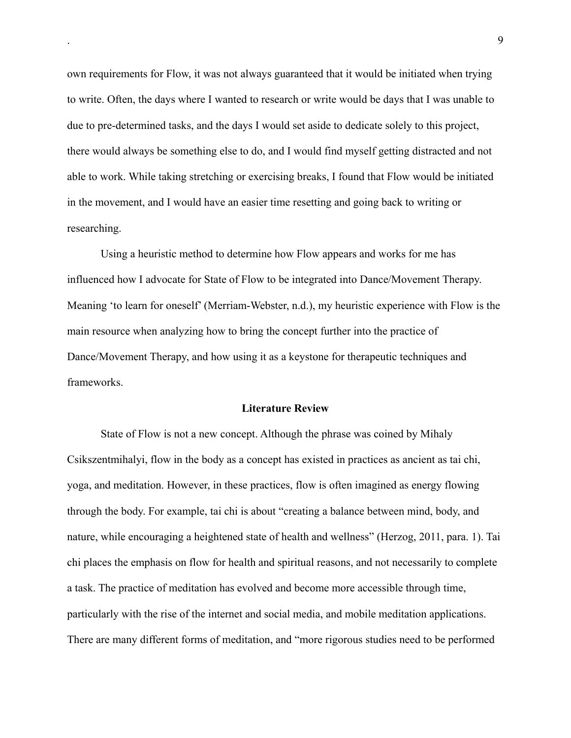own requirements for Flow, it was not always guaranteed that it would be initiated when trying to write. Often, the days where I wanted to research or write would be days that I was unable to due to pre-determined tasks, and the days I would set aside to dedicate solely to this project, there would always be something else to do, and I would find myself getting distracted and not able to work. While taking stretching or exercising breaks, I found that Flow would be initiated in the movement, and I would have an easier time resetting and going back to writing or researching.

Using a heuristic method to determine how Flow appears and works for me has influenced how I advocate for State of Flow to be integrated into Dance/Movement Therapy. Meaning 'to learn for oneself' (Merriam-Webster, n.d.), my heuristic experience with Flow is the main resource when analyzing how to bring the concept further into the practice of Dance/Movement Therapy, and how using it as a keystone for therapeutic techniques and frameworks.

#### **Literature Review**

State of Flow is not a new concept. Although the phrase was coined by Mihaly Csikszentmihalyi, flow in the body as a concept has existed in practices as ancient as tai chi, yoga, and meditation. However, in these practices, flow is often imagined as energy flowing through the body. For example, tai chi is about "creating a balance between mind, body, and nature, while encouraging a heightened state of health and wellness" (Herzog, 2011, para. 1). Tai chi places the emphasis on flow for health and spiritual reasons, and not necessarily to complete a task. The practice of meditation has evolved and become more accessible through time, particularly with the rise of the internet and social media, and mobile meditation applications. There are many different forms of meditation, and "more rigorous studies need to be performed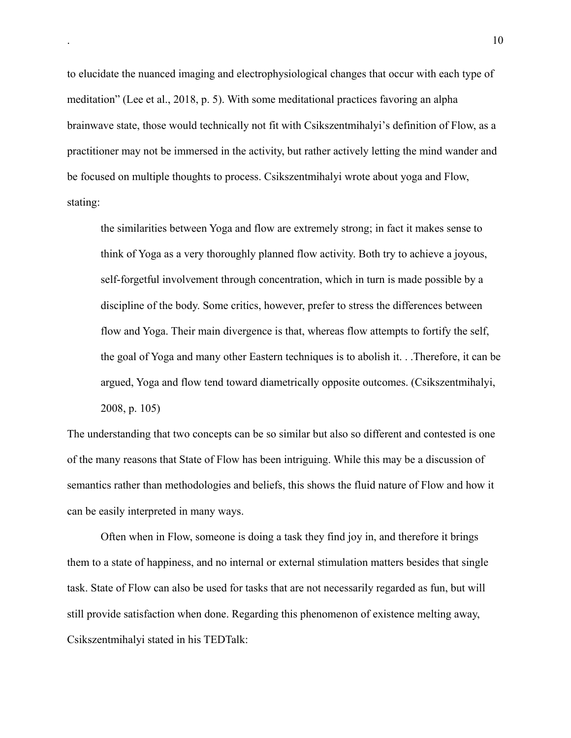to elucidate the nuanced imaging and electrophysiological changes that occur with each type of meditation" (Lee et al., 2018, p. 5). With some meditational practices favoring an alpha brainwave state, those would technically not fit with Csikszentmihalyi's definition of Flow, as a practitioner may not be immersed in the activity, but rather actively letting the mind wander and be focused on multiple thoughts to process. Csikszentmihalyi wrote about yoga and Flow, stating:

the similarities between Yoga and flow are extremely strong; in fact it makes sense to think of Yoga as a very thoroughly planned flow activity. Both try to achieve a joyous, self-forgetful involvement through concentration, which in turn is made possible by a discipline of the body. Some critics, however, prefer to stress the differences between flow and Yoga. Their main divergence is that, whereas flow attempts to fortify the self, the goal of Yoga and many other Eastern techniques is to abolish it. . .Therefore, it can be argued, Yoga and flow tend toward diametrically opposite outcomes. (Csikszentmihalyi, 2008, p. 105)

The understanding that two concepts can be so similar but also so different and contested is one of the many reasons that State of Flow has been intriguing. While this may be a discussion of semantics rather than methodologies and beliefs, this shows the fluid nature of Flow and how it can be easily interpreted in many ways.

Often when in Flow, someone is doing a task they find joy in, and therefore it brings them to a state of happiness, and no internal or external stimulation matters besides that single task. State of Flow can also be used for tasks that are not necessarily regarded as fun, but will still provide satisfaction when done. Regarding this phenomenon of existence melting away, Csikszentmihalyi stated in his TEDTalk: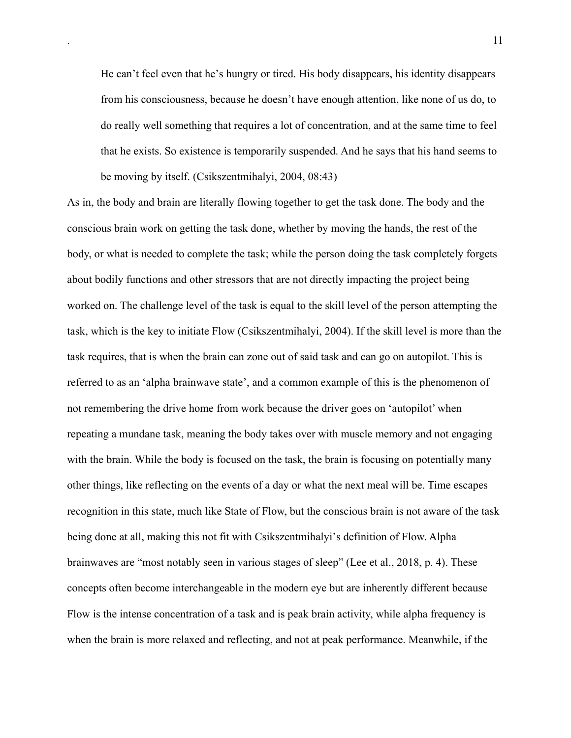He can't feel even that he's hungry or tired. His body disappears, his identity disappears from his consciousness, because he doesn't have enough attention, like none of us do, to do really well something that requires a lot of concentration, and at the same time to feel that he exists. So existence is temporarily suspended. And he says that his hand seems to be moving by itself. (Csikszentmihalyi, 2004, 08:43)

As in, the body and brain are literally flowing together to get the task done. The body and the conscious brain work on getting the task done, whether by moving the hands, the rest of the body, or what is needed to complete the task; while the person doing the task completely forgets about bodily functions and other stressors that are not directly impacting the project being worked on. The challenge level of the task is equal to the skill level of the person attempting the task, which is the key to initiate Flow (Csikszentmihalyi, 2004). If the skill level is more than the task requires, that is when the brain can zone out of said task and can go on autopilot. This is referred to as an 'alpha brainwave state', and a common example of this is the phenomenon of not remembering the drive home from work because the driver goes on 'autopilot' when repeating a mundane task, meaning the body takes over with muscle memory and not engaging with the brain. While the body is focused on the task, the brain is focusing on potentially many other things, like reflecting on the events of a day or what the next meal will be. Time escapes recognition in this state, much like State of Flow, but the conscious brain is not aware of the task being done at all, making this not fit with Csikszentmihalyi's definition of Flow. Alpha brainwaves are "most notably seen in various stages of sleep" (Lee et al., 2018, p. 4). These concepts often become interchangeable in the modern eye but are inherently different because Flow is the intense concentration of a task and is peak brain activity, while alpha frequency is when the brain is more relaxed and reflecting, and not at peak performance. Meanwhile, if the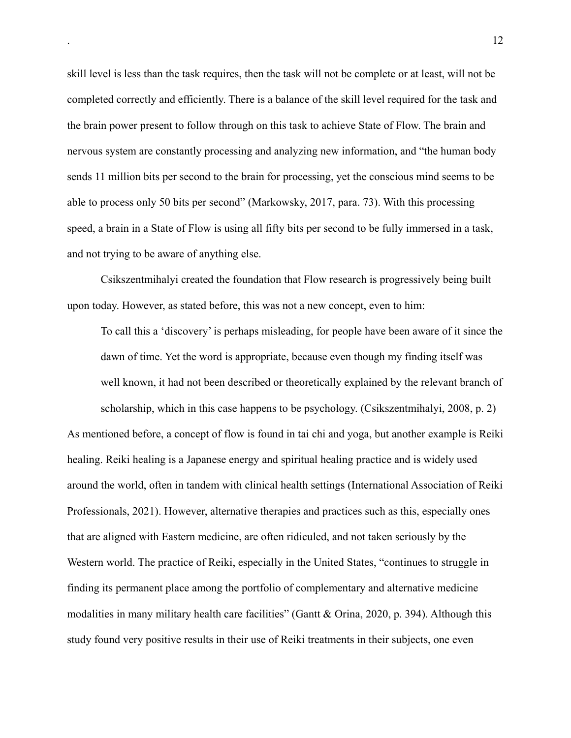skill level is less than the task requires, then the task will not be complete or at least, will not be completed correctly and efficiently. There is a balance of the skill level required for the task and the brain power present to follow through on this task to achieve State of Flow. The brain and nervous system are constantly processing and analyzing new information, and "the human body sends 11 million bits per second to the brain for processing, yet the conscious mind seems to be able to process only 50 bits per second" (Markowsky, 2017, para. 73). With this processing speed, a brain in a State of Flow is using all fifty bits per second to be fully immersed in a task, and not trying to be aware of anything else.

Csikszentmihalyi created the foundation that Flow research is progressively being built upon today. However, as stated before, this was not a new concept, even to him:

To call this a 'discovery' is perhaps misleading, for people have been aware of it since the dawn of time. Yet the word is appropriate, because even though my finding itself was well known, it had not been described or theoretically explained by the relevant branch of scholarship, which in this case happens to be psychology. (Csikszentmihalyi, 2008, p. 2) As mentioned before, a concept of flow is found in tai chi and yoga, but another example is Reiki healing. Reiki healing is a Japanese energy and spiritual healing practice and is widely used around the world, often in tandem with clinical health settings (International Association of Reiki Professionals, 2021). However, alternative therapies and practices such as this, especially ones that are aligned with Eastern medicine, are often ridiculed, and not taken seriously by the Western world. The practice of Reiki, especially in the United States, "continues to struggle in finding its permanent place among the portfolio of complementary and alternative medicine modalities in many military health care facilities" (Gantt & Orina, 2020, p. 394). Although this study found very positive results in their use of Reiki treatments in their subjects, one even

. 12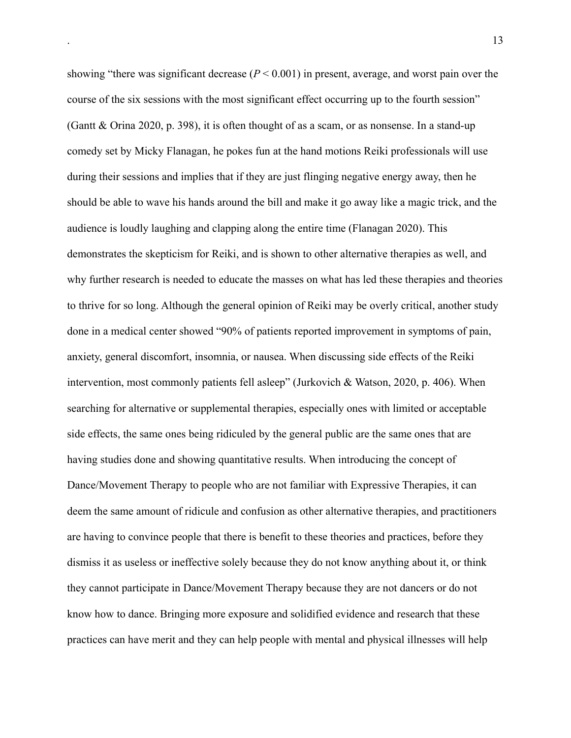showing "there was significant decrease (*P* < 0.001) in present, average, and worst pain over the course of the six sessions with the most significant effect occurring up to the fourth session" (Gantt & Orina 2020, p. 398), it is often thought of as a scam, or as nonsense. In a stand-up comedy set by Micky Flanagan, he pokes fun at the hand motions Reiki professionals will use during their sessions and implies that if they are just flinging negative energy away, then he should be able to wave his hands around the bill and make it go away like a magic trick, and the audience is loudly laughing and clapping along the entire time (Flanagan 2020). This demonstrates the skepticism for Reiki, and is shown to other alternative therapies as well, and why further research is needed to educate the masses on what has led these therapies and theories to thrive for so long. Although the general opinion of Reiki may be overly critical, another study done in a medical center showed "90% of patients reported improvement in symptoms of pain, anxiety, general discomfort, insomnia, or nausea. When discussing side effects of the Reiki intervention, most commonly patients fell asleep" (Jurkovich & Watson, 2020, p. 406). When searching for alternative or supplemental therapies, especially ones with limited or acceptable side effects, the same ones being ridiculed by the general public are the same ones that are having studies done and showing quantitative results. When introducing the concept of Dance/Movement Therapy to people who are not familiar with Expressive Therapies, it can deem the same amount of ridicule and confusion as other alternative therapies, and practitioners are having to convince people that there is benefit to these theories and practices, before they dismiss it as useless or ineffective solely because they do not know anything about it, or think they cannot participate in Dance/Movement Therapy because they are not dancers or do not know how to dance. Bringing more exposure and solidified evidence and research that these practices can have merit and they can help people with mental and physical illnesses will help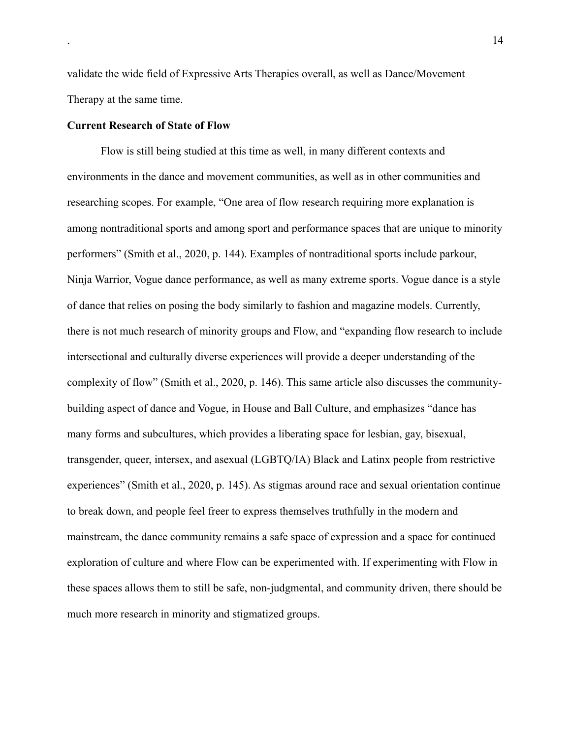validate the wide field of Expressive Arts Therapies overall, as well as Dance/Movement Therapy at the same time.

#### **Current Research of State of Flow**

Flow is still being studied at this time as well, in many different contexts and environments in the dance and movement communities, as well as in other communities and researching scopes. For example, "One area of flow research requiring more explanation is among nontraditional sports and among sport and performance spaces that are unique to minority performers" (Smith et al., 2020, p. 144). Examples of nontraditional sports include parkour, Ninja Warrior, Vogue dance performance, as well as many extreme sports. Vogue dance is a style of dance that relies on posing the body similarly to fashion and magazine models. Currently, there is not much research of minority groups and Flow, and "expanding flow research to include intersectional and culturally diverse experiences will provide a deeper understanding of the complexity of flow" (Smith et al., 2020, p. 146). This same article also discusses the communitybuilding aspect of dance and Vogue, in House and Ball Culture, and emphasizes "dance has many forms and subcultures, which provides a liberating space for lesbian, gay, bisexual, transgender, queer, intersex, and asexual (LGBTQ/IA) Black and Latinx people from restrictive experiences" (Smith et al., 2020, p. 145). As stigmas around race and sexual orientation continue to break down, and people feel freer to express themselves truthfully in the modern and mainstream, the dance community remains a safe space of expression and a space for continued exploration of culture and where Flow can be experimented with. If experimenting with Flow in these spaces allows them to still be safe, non-judgmental, and community driven, there should be much more research in minority and stigmatized groups.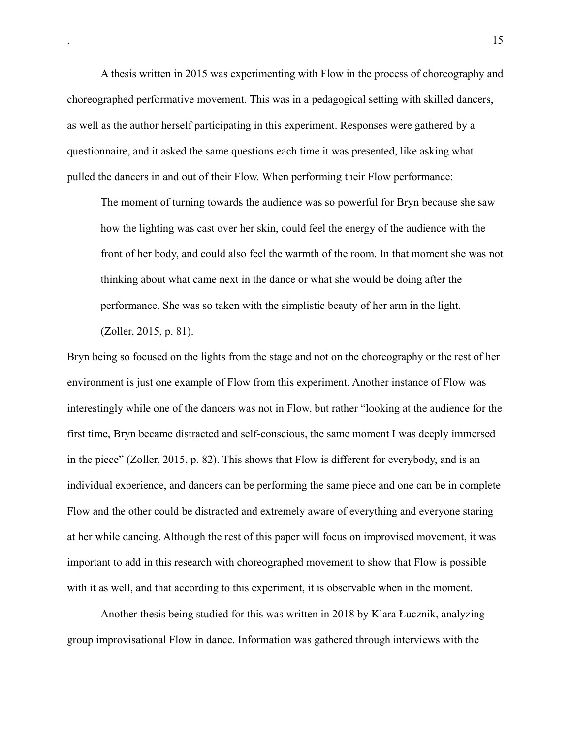A thesis written in 2015 was experimenting with Flow in the process of choreography and choreographed performative movement. This was in a pedagogical setting with skilled dancers, as well as the author herself participating in this experiment. Responses were gathered by a questionnaire, and it asked the same questions each time it was presented, like asking what pulled the dancers in and out of their Flow. When performing their Flow performance:

The moment of turning towards the audience was so powerful for Bryn because she saw how the lighting was cast over her skin, could feel the energy of the audience with the front of her body, and could also feel the warmth of the room. In that moment she was not thinking about what came next in the dance or what she would be doing after the performance. She was so taken with the simplistic beauty of her arm in the light. (Zoller, 2015, p. 81).

Bryn being so focused on the lights from the stage and not on the choreography or the rest of her environment is just one example of Flow from this experiment. Another instance of Flow was interestingly while one of the dancers was not in Flow, but rather "looking at the audience for the first time, Bryn became distracted and self-conscious, the same moment I was deeply immersed in the piece" (Zoller, 2015, p. 82). This shows that Flow is different for everybody, and is an individual experience, and dancers can be performing the same piece and one can be in complete Flow and the other could be distracted and extremely aware of everything and everyone staring at her while dancing. Although the rest of this paper will focus on improvised movement, it was important to add in this research with choreographed movement to show that Flow is possible with it as well, and that according to this experiment, it is observable when in the moment.

 Another thesis being studied for this was written in 2018 by Klara Łucznik, analyzing group improvisational Flow in dance. Information was gathered through interviews with the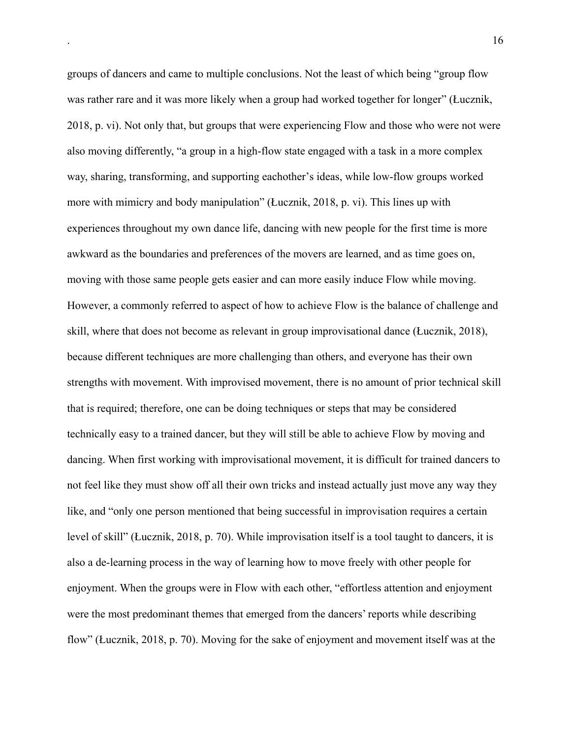groups of dancers and came to multiple conclusions. Not the least of which being "group flow was rather rare and it was more likely when a group had worked together for longer" (Łucznik, 2018, p. vi). Not only that, but groups that were experiencing Flow and those who were not were also moving differently, "a group in a high-flow state engaged with a task in a more complex way, sharing, transforming, and supporting eachother's ideas, while low-flow groups worked more with mimicry and body manipulation" (Łucznik, 2018, p. vi). This lines up with experiences throughout my own dance life, dancing with new people for the first time is more awkward as the boundaries and preferences of the movers are learned, and as time goes on, moving with those same people gets easier and can more easily induce Flow while moving. However, a commonly referred to aspect of how to achieve Flow is the balance of challenge and skill, where that does not become as relevant in group improvisational dance (Łucznik, 2018), because different techniques are more challenging than others, and everyone has their own strengths with movement. With improvised movement, there is no amount of prior technical skill that is required; therefore, one can be doing techniques or steps that may be considered technically easy to a trained dancer, but they will still be able to achieve Flow by moving and dancing. When first working with improvisational movement, it is difficult for trained dancers to not feel like they must show off all their own tricks and instead actually just move any way they like, and "only one person mentioned that being successful in improvisation requires a certain level of skill" (Łucznik, 2018, p. 70). While improvisation itself is a tool taught to dancers, it is also a de-learning process in the way of learning how to move freely with other people for enjoyment. When the groups were in Flow with each other, "effortless attention and enjoyment were the most predominant themes that emerged from the dancers' reports while describing flow" (Łucznik, 2018, p. 70). Moving for the sake of enjoyment and movement itself was at the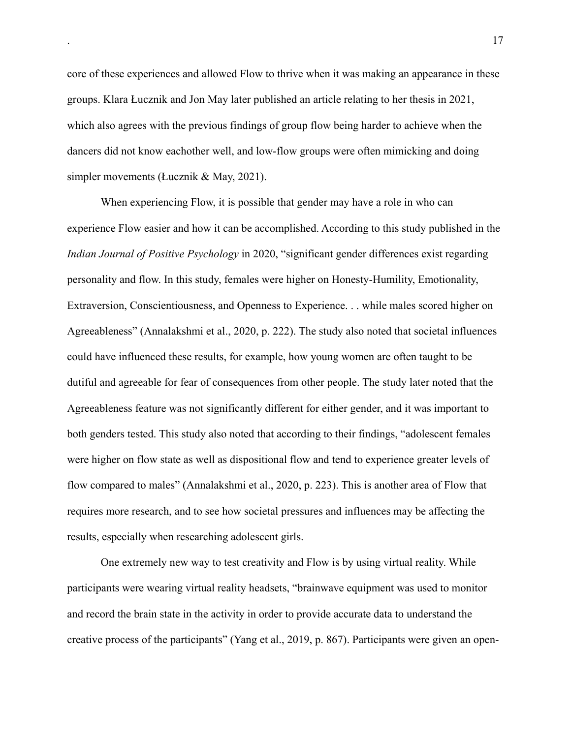core of these experiences and allowed Flow to thrive when it was making an appearance in these groups. Klara Łucznik and Jon May later published an article relating to her thesis in 2021, which also agrees with the previous findings of group flow being harder to achieve when the dancers did not know eachother well, and low-flow groups were often mimicking and doing simpler movements (Łucznik & May, 2021).

 When experiencing Flow, it is possible that gender may have a role in who can experience Flow easier and how it can be accomplished. According to this study published in the *Indian Journal of Positive Psychology* in 2020, "significant gender differences exist regarding personality and flow. In this study, females were higher on Honesty-Humility, Emotionality, Extraversion, Conscientiousness, and Openness to Experience. . . while males scored higher on Agreeableness" (Annalakshmi et al., 2020, p. 222). The study also noted that societal influences could have influenced these results, for example, how young women are often taught to be dutiful and agreeable for fear of consequences from other people. The study later noted that the Agreeableness feature was not significantly different for either gender, and it was important to both genders tested. This study also noted that according to their findings, "adolescent females were higher on flow state as well as dispositional flow and tend to experience greater levels of flow compared to males" (Annalakshmi et al., 2020, p. 223). This is another area of Flow that requires more research, and to see how societal pressures and influences may be affecting the results, especially when researching adolescent girls.

One extremely new way to test creativity and Flow is by using virtual reality. While participants were wearing virtual reality headsets, "brainwave equipment was used to monitor and record the brain state in the activity in order to provide accurate data to understand the creative process of the participants" (Yang et al., 2019, p. 867). Participants were given an open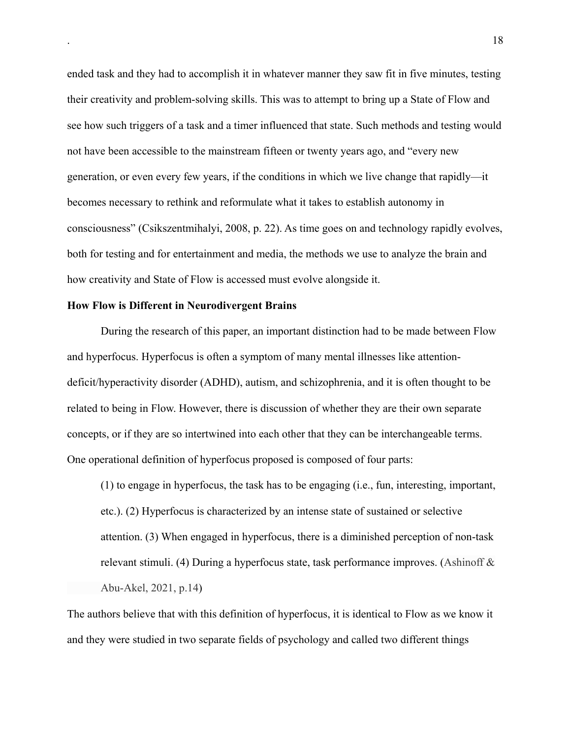ended task and they had to accomplish it in whatever manner they saw fit in five minutes, testing their creativity and problem-solving skills. This was to attempt to bring up a State of Flow and see how such triggers of a task and a timer influenced that state. Such methods and testing would not have been accessible to the mainstream fifteen or twenty years ago, and "every new generation, or even every few years, if the conditions in which we live change that rapidly—it becomes necessary to rethink and reformulate what it takes to establish autonomy in consciousness" (Csikszentmihalyi, 2008, p. 22). As time goes on and technology rapidly evolves, both for testing and for entertainment and media, the methods we use to analyze the brain and how creativity and State of Flow is accessed must evolve alongside it.

#### **How Flow is Different in Neurodivergent Brains**

During the research of this paper, an important distinction had to be made between Flow and hyperfocus. Hyperfocus is often a symptom of many mental illnesses like attentiondeficit/hyperactivity disorder (ADHD), autism, and schizophrenia, and it is often thought to be related to being in Flow. However, there is discussion of whether they are their own separate concepts, or if they are so intertwined into each other that they can be interchangeable terms. One operational definition of hyperfocus proposed is composed of four parts:

(1) to engage in hyperfocus, the task has to be engaging (i.e., fun, interesting, important, etc.). (2) Hyperfocus is characterized by an intense state of sustained or selective attention. (3) When engaged in hyperfocus, there is a diminished perception of non-task relevant stimuli. (4) During a hyperfocus state, task performance improves. (Ashinoff & Abu-Akel, 2021, p.14)

The authors believe that with this definition of hyperfocus, it is identical to Flow as we know it and they were studied in two separate fields of psychology and called two different things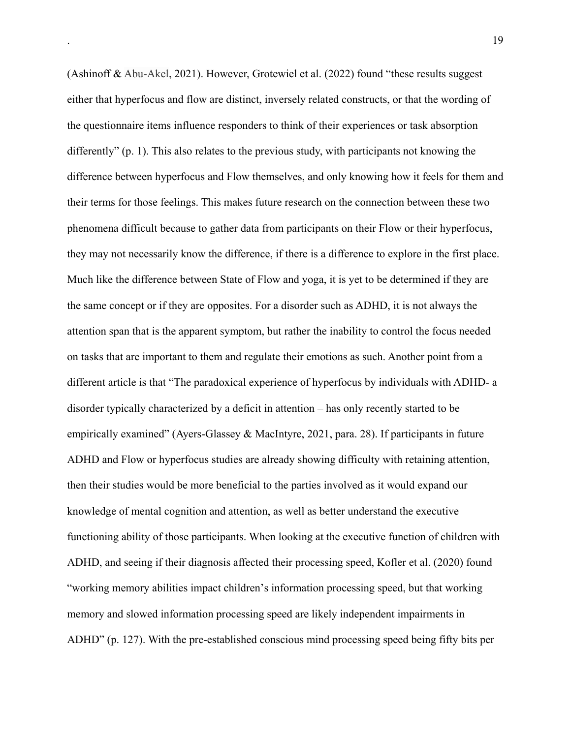(Ashinoff & Abu-Akel, 2021). However, Grotewiel et al. (2022) found "these results suggest either that hyperfocus and flow are distinct, inversely related constructs, or that the wording of the questionnaire items influence responders to think of their experiences or task absorption differently" (p. 1). This also relates to the previous study, with participants not knowing the difference between hyperfocus and Flow themselves, and only knowing how it feels for them and their terms for those feelings. This makes future research on the connection between these two phenomena difficult because to gather data from participants on their Flow or their hyperfocus, they may not necessarily know the difference, if there is a difference to explore in the first place. Much like the difference between State of Flow and yoga, it is yet to be determined if they are the same concept or if they are opposites. For a disorder such as ADHD, it is not always the attention span that is the apparent symptom, but rather the inability to control the focus needed on tasks that are important to them and regulate their emotions as such. Another point from a different article is that "The paradoxical experience of hyperfocus by individuals with ADHD- a disorder typically characterized by a deficit in attention – has only recently started to be empirically examined" (Ayers-Glassey & MacIntyre, 2021, para. 28). If participants in future ADHD and Flow or hyperfocus studies are already showing difficulty with retaining attention, then their studies would be more beneficial to the parties involved as it would expand our knowledge of mental cognition and attention, as well as better understand the executive functioning ability of those participants. When looking at the executive function of children with ADHD, and seeing if their diagnosis affected their processing speed, Kofler et al. (2020) found "working memory abilities impact children's information processing speed, but that working memory and slowed information processing speed are likely independent impairments in ADHD" (p. 127). With the pre-established conscious mind processing speed being fifty bits per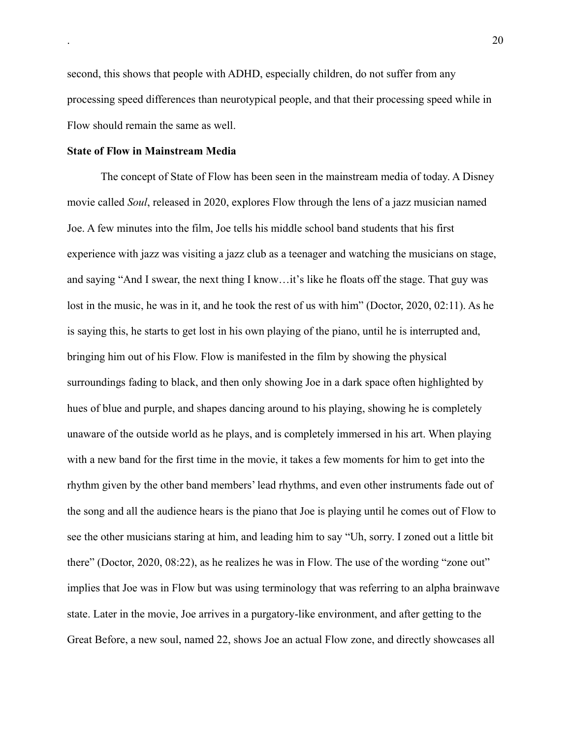second, this shows that people with ADHD, especially children, do not suffer from any processing speed differences than neurotypical people, and that their processing speed while in Flow should remain the same as well.

#### **State of Flow in Mainstream Media**

The concept of State of Flow has been seen in the mainstream media of today. A Disney movie called *Soul*, released in 2020, explores Flow through the lens of a jazz musician named Joe. A few minutes into the film, Joe tells his middle school band students that his first experience with jazz was visiting a jazz club as a teenager and watching the musicians on stage, and saying "And I swear, the next thing I know…it's like he floats off the stage. That guy was lost in the music, he was in it, and he took the rest of us with him" (Doctor, 2020, 02:11). As he is saying this, he starts to get lost in his own playing of the piano, until he is interrupted and, bringing him out of his Flow. Flow is manifested in the film by showing the physical surroundings fading to black, and then only showing Joe in a dark space often highlighted by hues of blue and purple, and shapes dancing around to his playing, showing he is completely unaware of the outside world as he plays, and is completely immersed in his art. When playing with a new band for the first time in the movie, it takes a few moments for him to get into the rhythm given by the other band members' lead rhythms, and even other instruments fade out of the song and all the audience hears is the piano that Joe is playing until he comes out of Flow to see the other musicians staring at him, and leading him to say "Uh, sorry. I zoned out a little bit there" (Doctor, 2020, 08:22), as he realizes he was in Flow. The use of the wording "zone out" implies that Joe was in Flow but was using terminology that was referring to an alpha brainwave state. Later in the movie, Joe arrives in a purgatory-like environment, and after getting to the Great Before, a new soul, named 22, shows Joe an actual Flow zone, and directly showcases all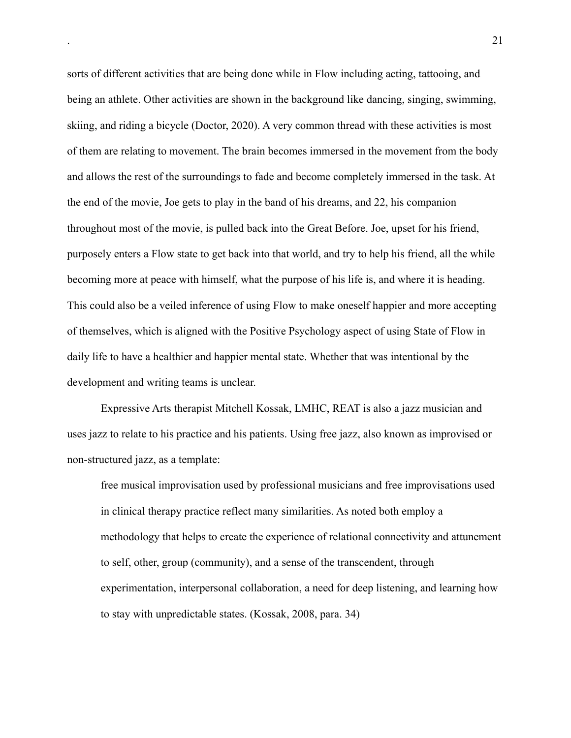sorts of different activities that are being done while in Flow including acting, tattooing, and being an athlete. Other activities are shown in the background like dancing, singing, swimming, skiing, and riding a bicycle (Doctor, 2020). A very common thread with these activities is most of them are relating to movement. The brain becomes immersed in the movement from the body and allows the rest of the surroundings to fade and become completely immersed in the task. At the end of the movie, Joe gets to play in the band of his dreams, and 22, his companion throughout most of the movie, is pulled back into the Great Before. Joe, upset for his friend, purposely enters a Flow state to get back into that world, and try to help his friend, all the while becoming more at peace with himself, what the purpose of his life is, and where it is heading. This could also be a veiled inference of using Flow to make oneself happier and more accepting of themselves, which is aligned with the Positive Psychology aspect of using State of Flow in daily life to have a healthier and happier mental state. Whether that was intentional by the development and writing teams is unclear.

Expressive Arts therapist Mitchell Kossak, LMHC, REAT is also a jazz musician and uses jazz to relate to his practice and his patients. Using free jazz, also known as improvised or non-structured jazz, as a template:

free musical improvisation used by professional musicians and free improvisations used in clinical therapy practice reflect many similarities. As noted both employ a methodology that helps to create the experience of relational connectivity and attunement to self, other, group (community), and a sense of the transcendent, through experimentation, interpersonal collaboration, a need for deep listening, and learning how to stay with unpredictable states. (Kossak, 2008, para. 34)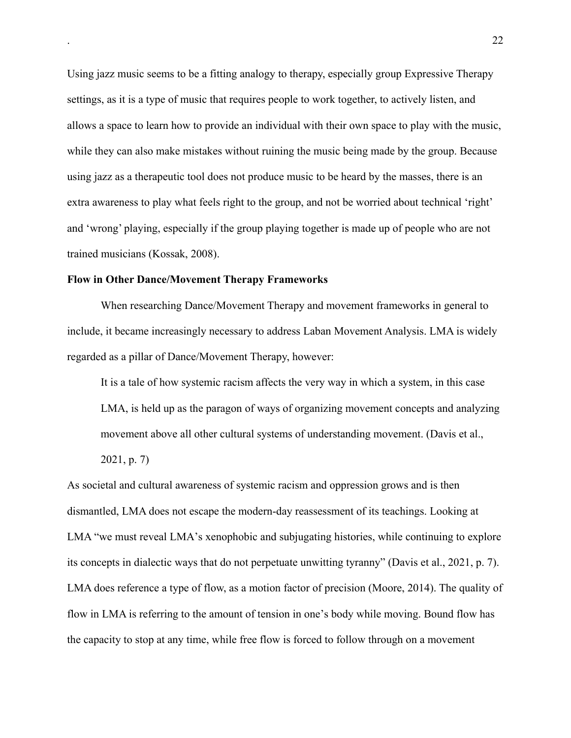Using jazz music seems to be a fitting analogy to therapy, especially group Expressive Therapy settings, as it is a type of music that requires people to work together, to actively listen, and allows a space to learn how to provide an individual with their own space to play with the music, while they can also make mistakes without ruining the music being made by the group. Because using jazz as a therapeutic tool does not produce music to be heard by the masses, there is an extra awareness to play what feels right to the group, and not be worried about technical 'right' and 'wrong' playing, especially if the group playing together is made up of people who are not trained musicians (Kossak, 2008).

#### **Flow in Other Dance/Movement Therapy Frameworks**

When researching Dance/Movement Therapy and movement frameworks in general to include, it became increasingly necessary to address Laban Movement Analysis. LMA is widely regarded as a pillar of Dance/Movement Therapy, however:

It is a tale of how systemic racism affects the very way in which a system, in this case LMA, is held up as the paragon of ways of organizing movement concepts and analyzing movement above all other cultural systems of understanding movement. (Davis et al.,

2021, p. 7)

As societal and cultural awareness of systemic racism and oppression grows and is then dismantled, LMA does not escape the modern-day reassessment of its teachings. Looking at LMA "we must reveal LMA's xenophobic and subjugating histories, while continuing to explore its concepts in dialectic ways that do not perpetuate unwitting tyranny" (Davis et al., 2021, p. 7). LMA does reference a type of flow, as a motion factor of precision (Moore, 2014). The quality of flow in LMA is referring to the amount of tension in one's body while moving. Bound flow has the capacity to stop at any time, while free flow is forced to follow through on a movement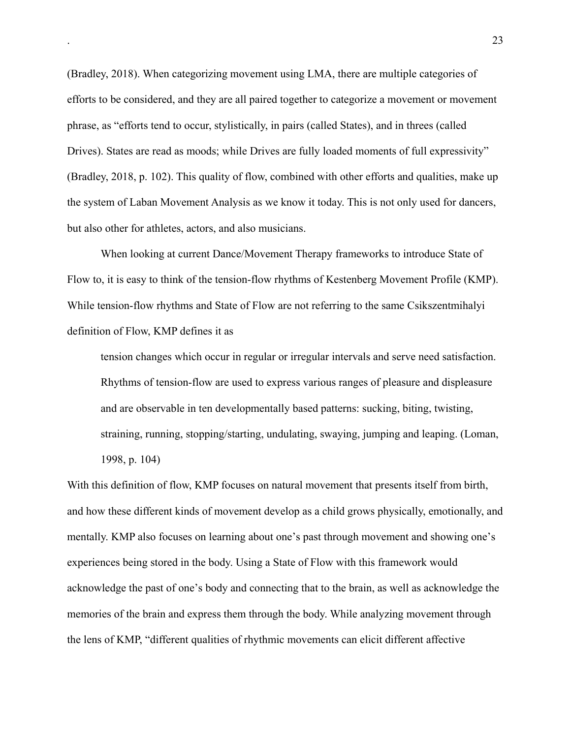(Bradley, 2018). When categorizing movement using LMA, there are multiple categories of efforts to be considered, and they are all paired together to categorize a movement or movement phrase, as "efforts tend to occur, stylistically, in pairs (called States), and in threes (called Drives). States are read as moods; while Drives are fully loaded moments of full expressivity" (Bradley, 2018, p. 102). This quality of flow, combined with other efforts and qualities, make up the system of Laban Movement Analysis as we know it today. This is not only used for dancers, but also other for athletes, actors, and also musicians.

When looking at current Dance/Movement Therapy frameworks to introduce State of Flow to, it is easy to think of the tension-flow rhythms of Kestenberg Movement Profile (KMP). While tension-flow rhythms and State of Flow are not referring to the same Csikszentmihalyi definition of Flow, KMP defines it as

tension changes which occur in regular or irregular intervals and serve need satisfaction. Rhythms of tension-flow are used to express various ranges of pleasure and displeasure and are observable in ten developmentally based patterns: sucking, biting, twisting, straining, running, stopping/starting, undulating, swaying, jumping and leaping. (Loman, 1998, p. 104)

With this definition of flow, KMP focuses on natural movement that presents itself from birth, and how these different kinds of movement develop as a child grows physically, emotionally, and mentally. KMP also focuses on learning about one's past through movement and showing one's experiences being stored in the body. Using a State of Flow with this framework would acknowledge the past of one's body and connecting that to the brain, as well as acknowledge the memories of the brain and express them through the body. While analyzing movement through the lens of KMP, "different qualities of rhythmic movements can elicit different affective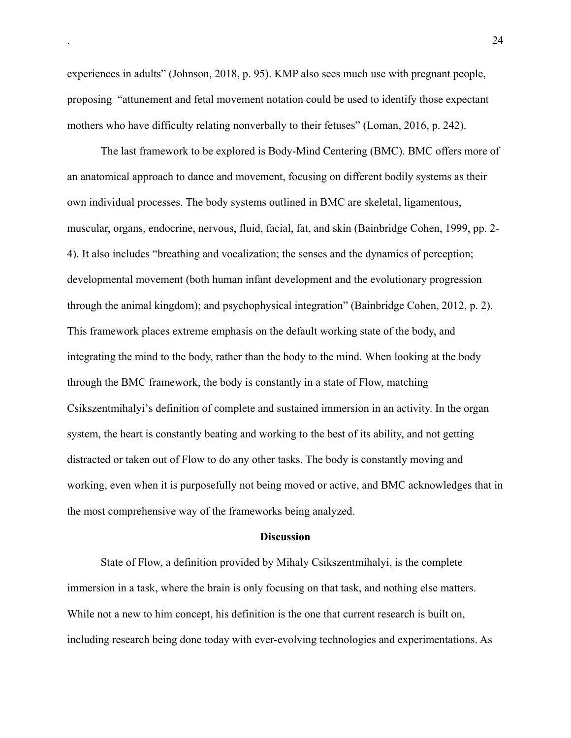experiences in adults" (Johnson, 2018, p. 95). KMP also sees much use with pregnant people, proposing "attunement and fetal movement notation could be used to identify those expectant mothers who have difficulty relating nonverbally to their fetuses" (Loman, 2016, p. 242).

 The last framework to be explored is Body-Mind Centering (BMC). BMC offers more of an anatomical approach to dance and movement, focusing on different bodily systems as their own individual processes. The body systems outlined in BMC are skeletal, ligamentous, muscular, organs, endocrine, nervous, fluid, facial, fat, and skin (Bainbridge Cohen, 1999, pp. 2- 4). It also includes "breathing and vocalization; the senses and the dynamics of perception; developmental movement (both human infant development and the evolutionary progression through the animal kingdom); and psychophysical integration" (Bainbridge Cohen, 2012, p. 2). This framework places extreme emphasis on the default working state of the body, and integrating the mind to the body, rather than the body to the mind. When looking at the body through the BMC framework, the body is constantly in a state of Flow, matching Csikszentmihalyi's definition of complete and sustained immersion in an activity. In the organ system, the heart is constantly beating and working to the best of its ability, and not getting distracted or taken out of Flow to do any other tasks. The body is constantly moving and working, even when it is purposefully not being moved or active, and BMC acknowledges that in the most comprehensive way of the frameworks being analyzed.

#### **Discussion**

State of Flow, a definition provided by Mihaly Csikszentmihalyi, is the complete immersion in a task, where the brain is only focusing on that task, and nothing else matters. While not a new to him concept, his definition is the one that current research is built on, including research being done today with ever-evolving technologies and experimentations. As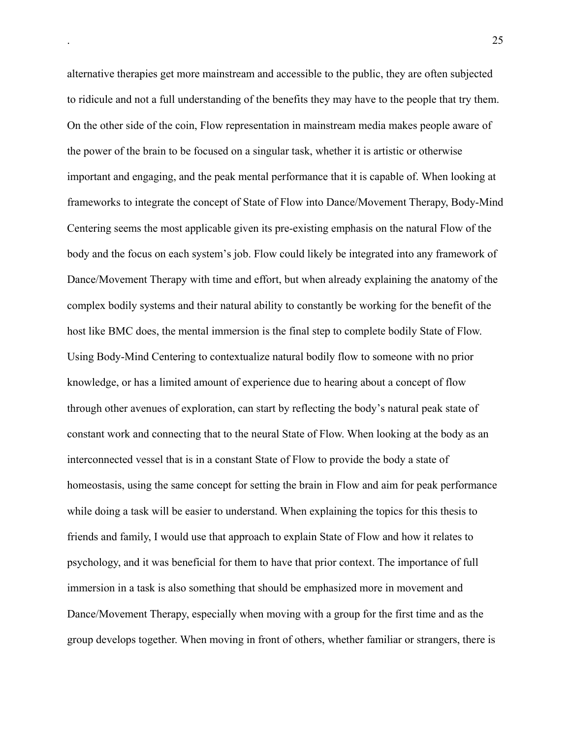alternative therapies get more mainstream and accessible to the public, they are often subjected to ridicule and not a full understanding of the benefits they may have to the people that try them. On the other side of the coin, Flow representation in mainstream media makes people aware of the power of the brain to be focused on a singular task, whether it is artistic or otherwise important and engaging, and the peak mental performance that it is capable of. When looking at frameworks to integrate the concept of State of Flow into Dance/Movement Therapy, Body-Mind Centering seems the most applicable given its pre-existing emphasis on the natural Flow of the body and the focus on each system's job. Flow could likely be integrated into any framework of Dance/Movement Therapy with time and effort, but when already explaining the anatomy of the complex bodily systems and their natural ability to constantly be working for the benefit of the host like BMC does, the mental immersion is the final step to complete bodily State of Flow. Using Body-Mind Centering to contextualize natural bodily flow to someone with no prior knowledge, or has a limited amount of experience due to hearing about a concept of flow through other avenues of exploration, can start by reflecting the body's natural peak state of constant work and connecting that to the neural State of Flow. When looking at the body as an interconnected vessel that is in a constant State of Flow to provide the body a state of homeostasis, using the same concept for setting the brain in Flow and aim for peak performance while doing a task will be easier to understand. When explaining the topics for this thesis to friends and family, I would use that approach to explain State of Flow and how it relates to psychology, and it was beneficial for them to have that prior context. The importance of full immersion in a task is also something that should be emphasized more in movement and Dance/Movement Therapy, especially when moving with a group for the first time and as the group develops together. When moving in front of others, whether familiar or strangers, there is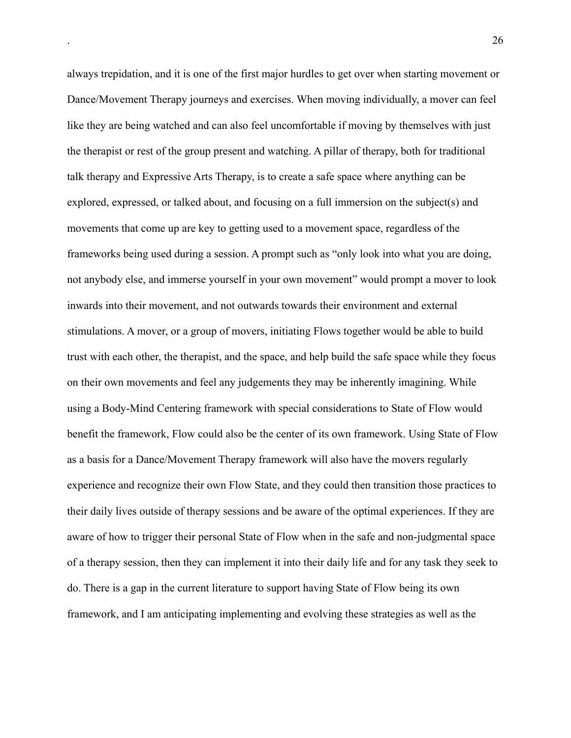always trepidation, and it is one of the first major hurdles to get over when starting movement or Dance/Movement Therapy journeys and exercises. When moving individually, a mover can feel like they are being watched and can also feel uncomfortable if moving by themselves with just the therapist or rest of the group present and watching. A pillar of therapy, both for traditional talk therapy and Expressive Arts Therapy, is to create a safe space where anything can be explored, expressed, or talked about, and focusing on a full immersion on the subject(s) and movements that come up are key to getting used to a movement space, regardless of the frameworks being used during a session. A prompt such as "only look into what you are doing, not anybody else, and immerse yourself in your own movement" would prompt a mover to look inwards into their movement, and not outwards towards their environment and external stimulations. A mover, or a group of movers, initiating Flows together would be able to build trust with each other, the therapist, and the space, and help build the safe space while they focus on their own movements and feel any judgements they may be inherently imagining. While using a Body-Mind Centering framework with special considerations to State of Flow would benefit the framework, Flow could also be the center of its own framework. Using State of Flow as a basis for a Dance/Movement Therapy framework will also have the movers regularly experience and recognize their own Flow State, and they could then transition those practices to their daily lives outside of therapy sessions and be aware of the optimal experiences. If they are aware of how to trigger their personal State of Flow when in the safe and non-judgmental space of a therapy session, then they can implement it into their daily life and for any task they seek to do. There is a gap in the current literature to support having State of Flow being its own framework, and I am anticipating implementing and evolving these strategies as well as the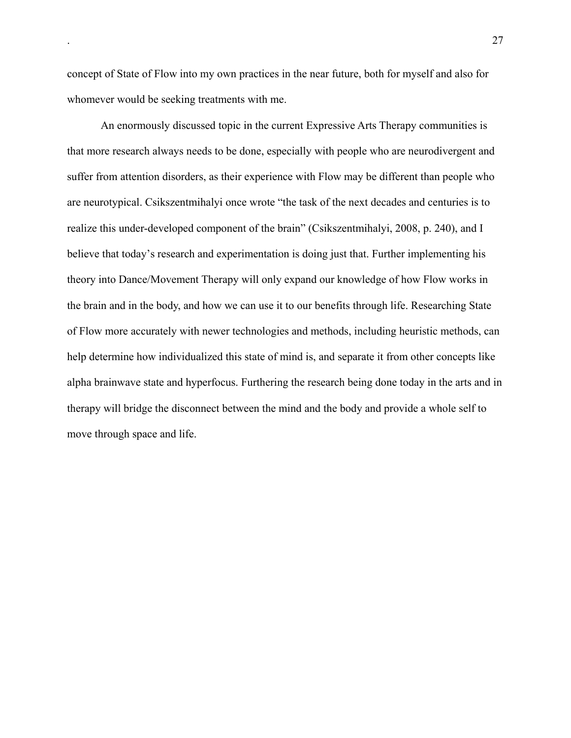concept of State of Flow into my own practices in the near future, both for myself and also for whomever would be seeking treatments with me.

An enormously discussed topic in the current Expressive Arts Therapy communities is that more research always needs to be done, especially with people who are neurodivergent and suffer from attention disorders, as their experience with Flow may be different than people who are neurotypical. Csikszentmihalyi once wrote "the task of the next decades and centuries is to realize this under-developed component of the brain" (Csikszentmihalyi, 2008, p. 240), and I believe that today's research and experimentation is doing just that. Further implementing his theory into Dance/Movement Therapy will only expand our knowledge of how Flow works in the brain and in the body, and how we can use it to our benefits through life. Researching State of Flow more accurately with newer technologies and methods, including heuristic methods, can help determine how individualized this state of mind is, and separate it from other concepts like alpha brainwave state and hyperfocus. Furthering the research being done today in the arts and in therapy will bridge the disconnect between the mind and the body and provide a whole self to move through space and life.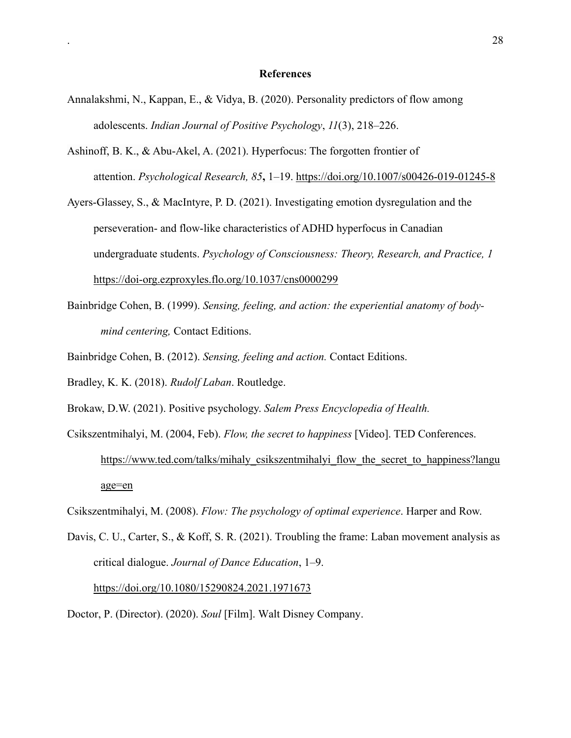#### **References**

- Annalakshmi, N., Kappan, E., & Vidya, B. (2020). Personality predictors of flow among adolescents. *Indian Journal of Positive Psychology*, *11*(3), 218–226.
- Ashinoff, B. K., & Abu-Akel, A. (2021). Hyperfocus: The forgotten frontier of attention. *Psychological Research, 85***,** 1–19.<https://doi.org/10.1007/s00426-019-01245-8>
- Ayers-Glassey, S., & MacIntyre, P. D. (2021). Investigating emotion dysregulation and the perseveration- and flow-like characteristics of ADHD hyperfocus in Canadian undergraduate students. *Psychology of Consciousness: Theory, Research, and Practice, 1*  <https://doi-org.ezproxyles.flo.org/10.1037/cns0000299>
- Bainbridge Cohen, B. (1999). *Sensing, feeling, and action: the experiential anatomy of body mind centering,* Contact Editions.
- Bainbridge Cohen, B. (2012). *Sensing, feeling and action.* Contact Editions.
- Bradley, K. K. (2018). *Rudolf Laban*. Routledge.
- Brokaw, D.W. (2021). Positive psychology. *Salem Press Encyclopedia of Health.*
- Csikszentmihalyi, M. (2004, Feb). *Flow, the secret to happiness* [Video]. TED Conferences. [https://www.ted.com/talks/mihaly\\_csikszentmihalyi\\_flow\\_the\\_secret\\_to\\_happiness?langu](https://www.ted.com/talks/mihaly_csikszentmihalyi_flow_the_secret_to_happiness?langu%09age=en) [age=en](https://www.ted.com/talks/mihaly_csikszentmihalyi_flow_the_secret_to_happiness?langu%09age=en)
- Csikszentmihalyi, M. (2008). *Flow: The psychology of optimal experience*. Harper and Row.
- Davis, C. U., Carter, S., & Koff, S. R. (2021). Troubling the frame: Laban movement analysis as critical dialogue. *Journal of Dance Education*, 1–9.

<https://doi.org/10.1080/15290824.2021.1971673>

Doctor, P. (Director). (2020). *Soul* [Film]. Walt Disney Company.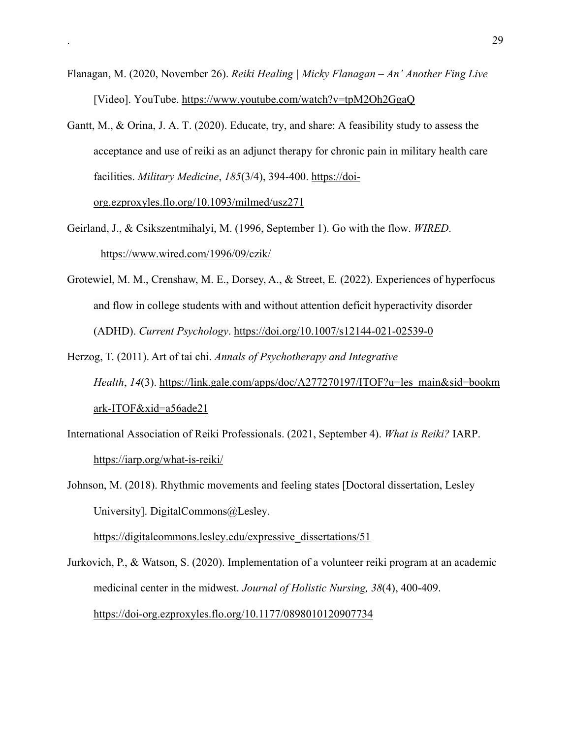- Flanagan, M. (2020, November 26). *Reiki Healing | Micky Flanagan An' Another Fing Live* [Video]. YouTube.<https://www.youtube.com/watch?v=tpM2Oh2GgaQ>
- Gantt, M., & Orina, J. A. T. (2020). Educate, try, and share: A feasibility study to assess the acceptance and use of reiki as an adjunct therapy for chronic pain in military health care facilities. *Military Medicine*, *185*(3/4), 394-400. [https://doi](https://doi-org.ezproxyles.flo.org/10.1093/milmed/usz271)[org.ezproxyles.flo.org/10.1093/milmed/usz271](https://doi-org.ezproxyles.flo.org/10.1093/milmed/usz271)

Geirland, J., & Csikszentmihalyi, M. (1996, September 1). Go with the flow. *WIRED*. <https://www.wired.com/1996/09/czik/>

- Grotewiel, M. M., Crenshaw, M. E., Dorsey, A., & Street, E*.* (2022). Experiences of hyperfocus and flow in college students with and without attention deficit hyperactivity disorder (ADHD). *Current Psychology*.<https://doi.org/10.1007/s12144-021-02539-0>
- Herzog, T. (2011). Art of tai chi. *Annals of Psychotherapy and Integrative Health*, *14*(3). [https://link.gale.com/apps/doc/A277270197/ITOF?u=les\\_main&sid=bookm](https://link.gale.com/apps/doc/A277270197/ITOF?u=les_main&sid=bookmark-ITOF&xid=a56ade21) [ark-ITOF&xid=a56ade21](https://link.gale.com/apps/doc/A277270197/ITOF?u=les_main&sid=bookmark-ITOF&xid=a56ade21)
- International Association of Reiki Professionals. (2021, September 4). *What is Reiki?* IARP. <https://iarp.org/what-is-reiki/>

Johnson, M. (2018). Rhythmic movements and feeling states [Doctoral dissertation, Lesley University]. DigitalCommons@Lesley.

[https://digitalcommons.lesley.edu/expressive\\_dissertations/51](https://digitalcommons.lesley.edu/expressive_dissertations/51)

Jurkovich, P., & Watson, S. (2020). Implementation of a volunteer reiki program at an academic medicinal center in the midwest. *Journal of Holistic Nursing, 38*(4), 400-409. <https://doi-org.ezproxyles.flo.org/10.1177/0898010120907734>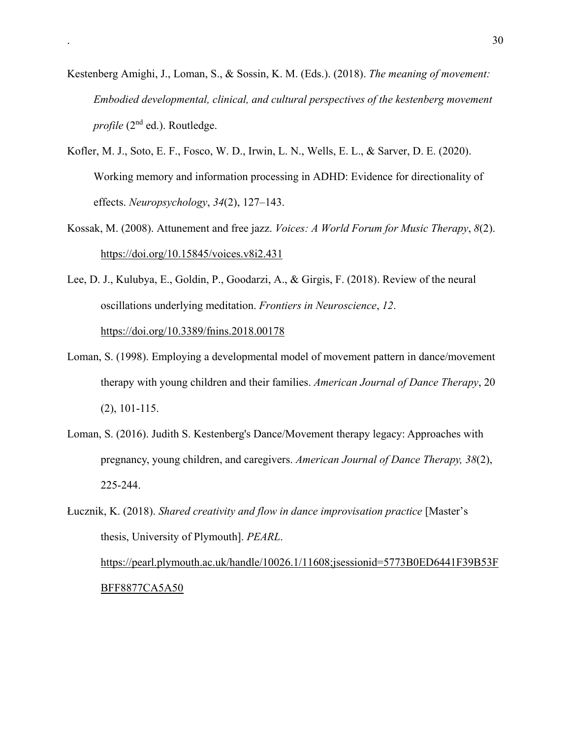- Kestenberg Amighi, J., Loman, S., & Sossin, K. M. (Eds.). (2018). *The meaning of movement: Embodied developmental, clinical, and cultural perspectives of the kestenberg movement profile* (2<sup>nd</sup> ed.). Routledge.
- Kofler, M. J., Soto, E. F., Fosco, W. D., Irwin, L. N., Wells, E. L., & Sarver, D. E. (2020). Working memory and information processing in ADHD: Evidence for directionality of effects. *Neuropsychology*, *34*(2), 127–143.
- Kossak, M. (2008). Attunement and free jazz. *Voices: A World Forum for Music Therapy*, *8*(2). <https://doi.org/10.15845/voices.v8i2.431>
- Lee, D. J., Kulubya, E., Goldin, P., Goodarzi, A., & Girgis, F. (2018). Review of the neural oscillations underlying meditation. *Frontiers in Neuroscience*, *12*. <https://doi.org/10.3389/fnins.2018.00178>
- Loman, S. (1998). Employing a developmental model of movement pattern in dance/movement therapy with young children and their families. *American Journal of Dance Therapy*, 20 (2), 101-115.
- Loman, S. (2016). Judith S. Kestenberg's Dance/Movement therapy legacy: Approaches with pregnancy, young children, and caregivers. *American Journal of Dance Therapy, 38*(2), 225-244.
- Łucznik, K. (2018). *Shared creativity and flow in dance improvisation practice* [Master's thesis, University of Plymouth]. *PEARL*. [https://pearl.plymouth.ac.uk/handle/10026.1/11608;jsessionid=5773B0ED6441F39B53F](https://pearl.plymouth.ac.uk/handle/10026.1/11608;jsessionid=5773B0ED6441F39B53F%09BFF8877CA5A50)  [BFF8877CA5A50](https://pearl.plymouth.ac.uk/handle/10026.1/11608;jsessionid=5773B0ED6441F39B53F%09BFF8877CA5A50)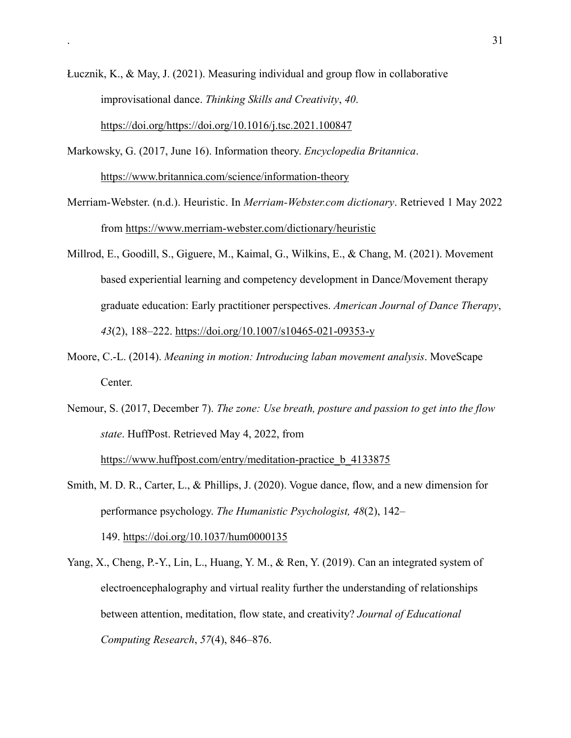- Łucznik, K., & May, J. (2021). Measuring individual and group flow in collaborative improvisational dance. *Thinking Skills and Creativity*, *40*. [https://doi.org/https://doi.org/10.1016/j.tsc.2021.100847](https://doi.org/https:/doi.org/10.1016/j.tsc.2021.100847)
- Markowsky, G. (2017, June 16). Information theory. *Encyclopedia Britannica*. <https://www.britannica.com/science/information-theory>
- Merriam-Webster. (n.d.). Heuristic. In *Merriam-Webster.com dictionary*. Retrieved 1 May 2022 from<https://www.merriam-webster.com/dictionary/heuristic>
- Millrod, E., Goodill, S., Giguere, M., Kaimal, G., Wilkins, E., & Chang, M. (2021). Movement based experiential learning and competency development in Dance/Movement therapy graduate education: Early practitioner perspectives. *American Journal of Dance Therapy*, *43*(2), 188–222.<https://doi.org/10.1007/s10465-021-09353-y>
- Moore, C.-L. (2014). *Meaning in motion: Introducing laban movement analysis*. MoveScape Center.
- Nemour, S. (2017, December 7). *The zone: Use breath, posture and passion to get into the flow state*. HuffPost. Retrieved May 4, 2022, from https://www.huffpost.com/entry/meditation-practice b 4133875

Smith, M. D. R., Carter, L., & Phillips, J. (2020). Vogue dance, flow, and a new dimension for performance psychology. *The Humanistic Psychologist, 48*(2), 142– 149. [https://doi.org/10.1037/hum0000135](https://doi.apa.org/doi/10.1037/hum0000135)

Yang, X., Cheng, P.-Y., Lin, L., Huang, Y. M., & Ren, Y. (2019). Can an integrated system of electroencephalography and virtual reality further the understanding of relationships between attention, meditation, flow state, and creativity? *Journal of Educational Computing Research*, *57*(4), 846–876.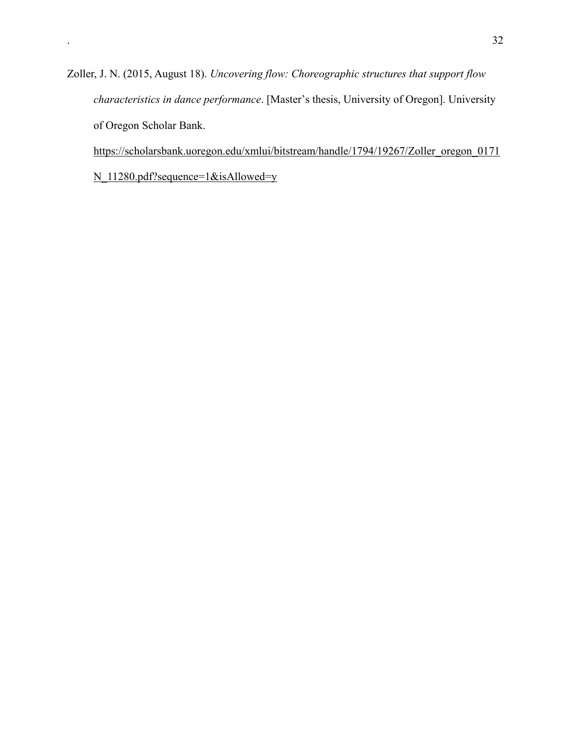Zoller, J. N. (2015, August 18). *Uncovering flow: Choreographic structures that support flow characteristics in dance performance*. [Master's thesis, University of Oregon]. University of Oregon Scholar Bank.

[https://scholarsbank.uoregon.edu/xmlui/bitstream/handle/1794/19267/Zoller\\_oregon\\_0171](https://scholarsbank.uoregon.edu/xmlui/bitstream/handle/1794/19267/Zoller_oregon_0171N_11280.pdf?sequence=1&isAllowed=y)

[N\\_11280.pdf?sequence=1&isAllowed=y](https://scholarsbank.uoregon.edu/xmlui/bitstream/handle/1794/19267/Zoller_oregon_0171N_11280.pdf?sequence=1&isAllowed=y)